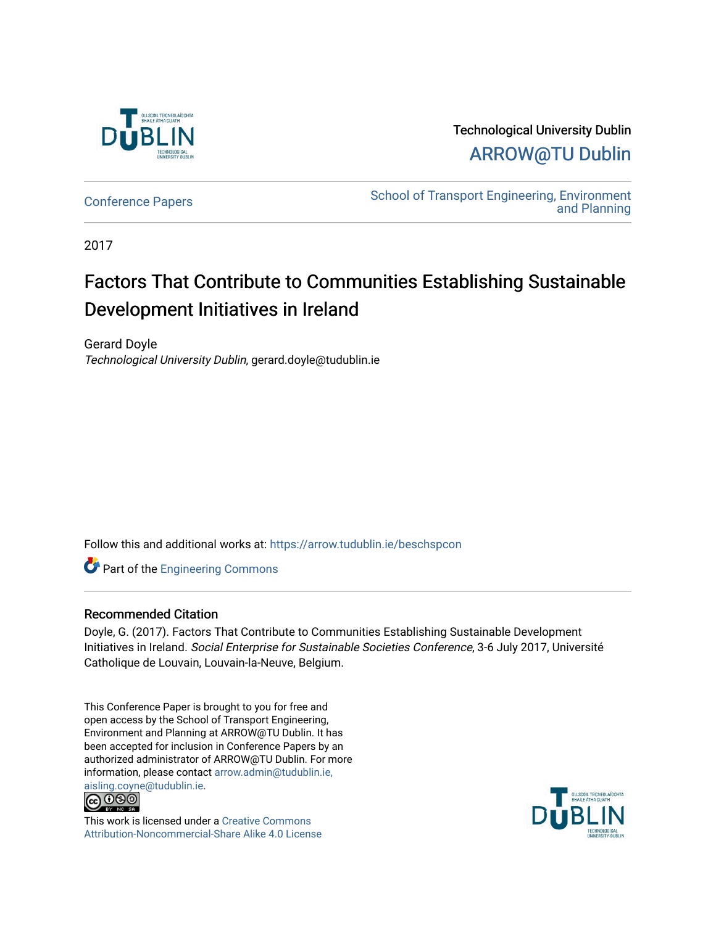

Technological University Dublin [ARROW@TU Dublin](https://arrow.tudublin.ie/) 

[Conference Papers](https://arrow.tudublin.ie/beschspcon) [School of Transport Engineering, Environment](https://arrow.tudublin.ie/beschsp)  [and Planning](https://arrow.tudublin.ie/beschsp) 

2017

# Factors That Contribute to Communities Establishing Sustainable Development Initiatives in Ireland

Gerard Doyle Technological University Dublin, gerard.doyle@tudublin.ie

Follow this and additional works at: [https://arrow.tudublin.ie/beschspcon](https://arrow.tudublin.ie/beschspcon?utm_source=arrow.tudublin.ie%2Fbeschspcon%2F31&utm_medium=PDF&utm_campaign=PDFCoverPages) 

**Part of the [Engineering Commons](http://network.bepress.com/hgg/discipline/217?utm_source=arrow.tudublin.ie%2Fbeschspcon%2F31&utm_medium=PDF&utm_campaign=PDFCoverPages)** 

## Recommended Citation

Doyle, G. (2017). Factors That Contribute to Communities Establishing Sustainable Development Initiatives in Ireland. Social Enterprise for Sustainable Societies Conference, 3-6 July 2017, Université Catholique de Louvain, Louvain-la-Neuve, Belgium.

This Conference Paper is brought to you for free and open access by the School of Transport Engineering, Environment and Planning at ARROW@TU Dublin. It has been accepted for inclusion in Conference Papers by an authorized administrator of ARROW@TU Dublin. For more information, please contact [arrow.admin@tudublin.ie,](mailto:arrow.admin@tudublin.ie,%20aisling.coyne@tudublin.ie)  [aisling.coyne@tudublin.ie.](mailto:arrow.admin@tudublin.ie,%20aisling.coyne@tudublin.ie)<br>@060



This work is licensed under a [Creative Commons](http://creativecommons.org/licenses/by-nc-sa/4.0/) [Attribution-Noncommercial-Share Alike 4.0 License](http://creativecommons.org/licenses/by-nc-sa/4.0/)

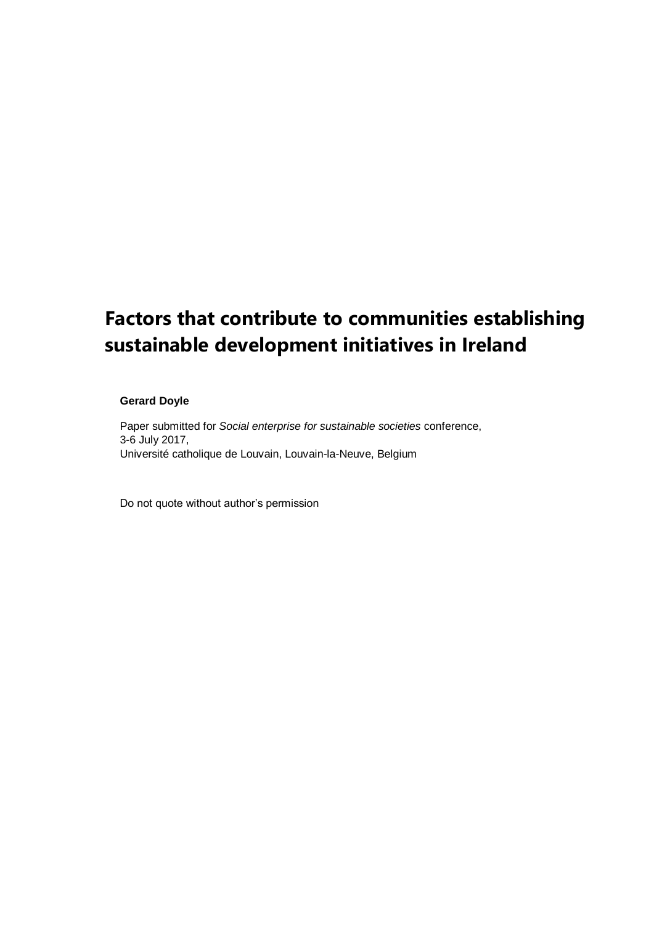# **Factors that contribute to communities establishing sustainable development initiatives in Ireland**

#### **Gerard Doyle**

Paper submitted for *Social enterprise for sustainable societies* conference, 3-6 July 2017, Université catholique de Louvain, Louvain-la-Neuve, Belgium

Do not quote without author's permission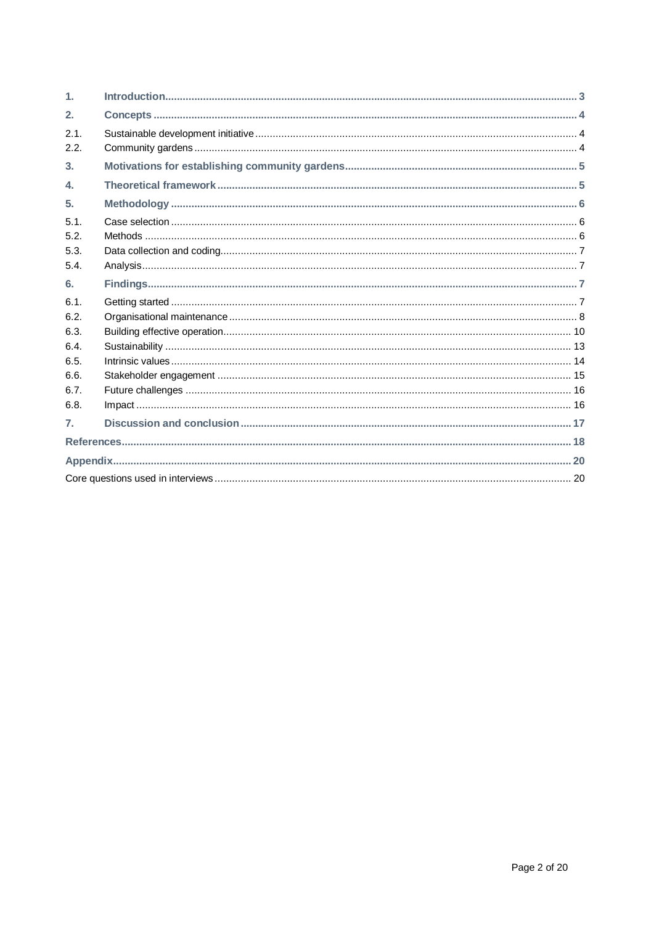| $\mathbf{1}$     |  |
|------------------|--|
| 2.               |  |
| 2.1.             |  |
| 2.2.             |  |
| 3.               |  |
| $\mathbf{4}$     |  |
| 5 <sub>1</sub>   |  |
| 5.1.             |  |
| 5.2.             |  |
| 5.3.             |  |
| 5.4.             |  |
| 6.               |  |
| 6.1.             |  |
| 6.2.             |  |
| 6.3.             |  |
| 6.4.             |  |
| 6.5.             |  |
| 6.6.             |  |
| 6.7.             |  |
| 6.8.             |  |
| $\overline{7}$ . |  |
|                  |  |
|                  |  |
|                  |  |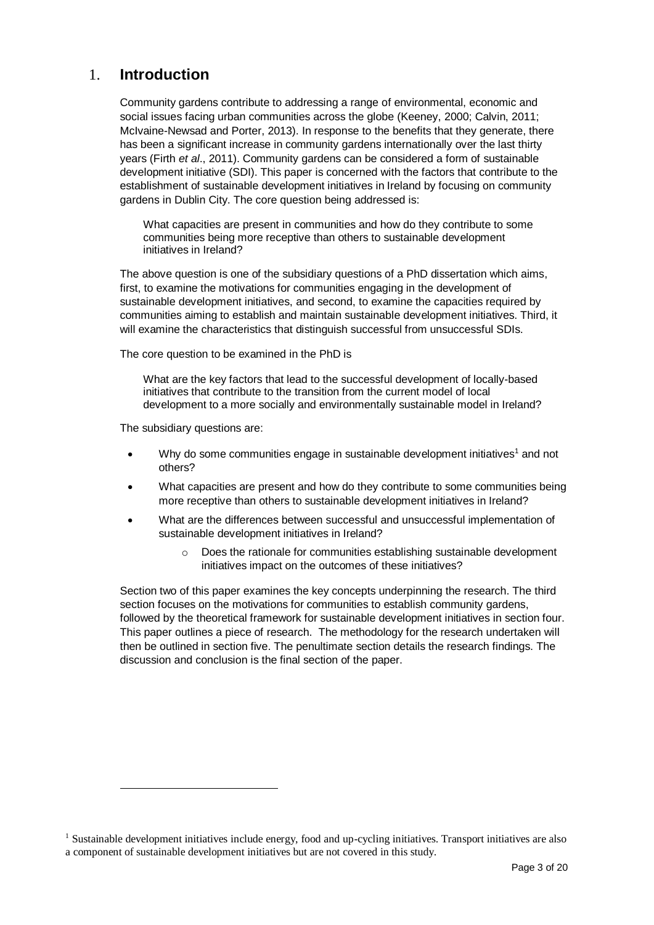# 1. **Introduction**

Community gardens contribute to addressing a range of environmental, economic and social issues facing urban communities across the globe (Keeney, 2000; Calvin, 2011; McIvaine-Newsad and Porter, 2013). In response to the benefits that they generate, there has been a significant increase in community gardens internationally over the last thirty years (Firth *et al*., 2011). Community gardens can be considered a form of sustainable development initiative (SDI). This paper is concerned with the factors that contribute to the establishment of sustainable development initiatives in Ireland by focusing on community gardens in Dublin City. The core question being addressed is:

What capacities are present in communities and how do they contribute to some communities being more receptive than others to sustainable development initiatives in Ireland?

The above question is one of the subsidiary questions of a PhD dissertation which aims, first, to examine the motivations for communities engaging in the development of sustainable development initiatives, and second, to examine the capacities required by communities aiming to establish and maintain sustainable development initiatives. Third, it will examine the characteristics that distinguish successful from unsuccessful SDIs.

The core question to be examined in the PhD is

What are the key factors that lead to the successful development of locally-based initiatives that contribute to the transition from the current model of local development to a more socially and environmentally sustainable model in Ireland?

The subsidiary questions are:

l

- Why do some communities engage in sustainable development initiatives<sup>1</sup> and not others?
- What capacities are present and how do they contribute to some communities being more receptive than others to sustainable development initiatives in Ireland?
- What are the differences between successful and unsuccessful implementation of sustainable development initiatives in Ireland?
	- o Does the rationale for communities establishing sustainable development initiatives impact on the outcomes of these initiatives?

Section two of this paper examines the key concepts underpinning the research. The third section focuses on the motivations for communities to establish community gardens, followed by the theoretical framework for sustainable development initiatives in section four. This paper outlines a piece of research. The methodology for the research undertaken will then be outlined in section five. The penultimate section details the research findings. The discussion and conclusion is the final section of the paper.

<sup>&</sup>lt;sup>1</sup> Sustainable development initiatives include energy, food and up-cycling initiatives. Transport initiatives are also a component of sustainable development initiatives but are not covered in this study.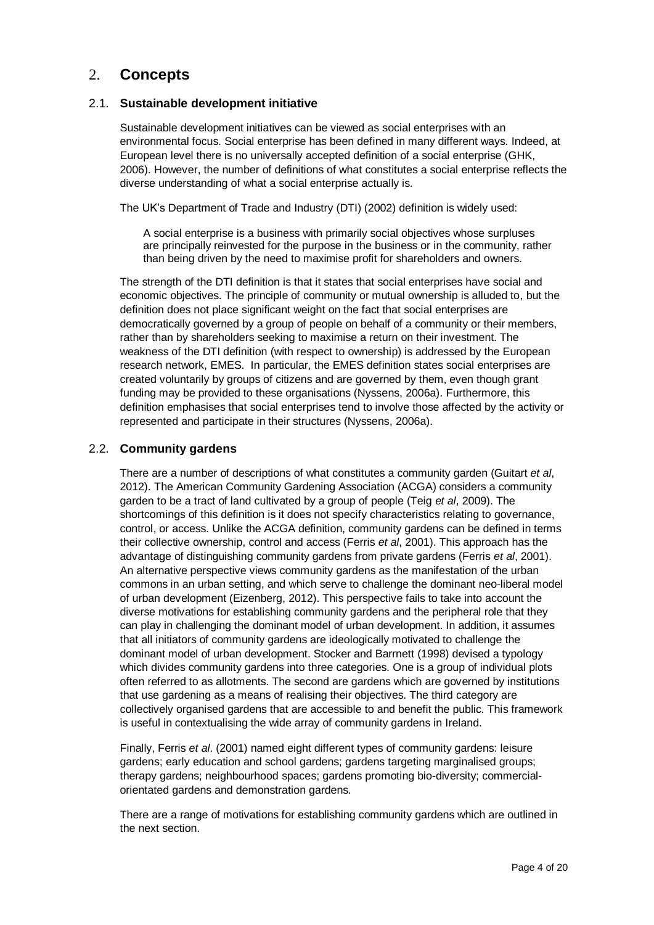# 2. **Concepts**

### 2.1. **Sustainable development initiative**

Sustainable development initiatives can be viewed as social enterprises with an environmental focus. Social enterprise has been defined in many different ways. Indeed, at European level there is no universally accepted definition of a social enterprise (GHK, 2006). However, the number of definitions of what constitutes a social enterprise reflects the diverse understanding of what a social enterprise actually is.

The UK's Department of Trade and Industry (DTI) (2002) definition is widely used:

A social enterprise is a business with primarily social objectives whose surpluses are principally reinvested for the purpose in the business or in the community, rather than being driven by the need to maximise profit for shareholders and owners.

The strength of the DTI definition is that it states that social enterprises have social and economic objectives. The principle of community or mutual ownership is alluded to, but the definition does not place significant weight on the fact that social enterprises are democratically governed by a group of people on behalf of a community or their members, rather than by shareholders seeking to maximise a return on their investment. The weakness of the DTI definition (with respect to ownership) is addressed by the European research network, EMES. In particular, the EMES definition states social enterprises are created voluntarily by groups of citizens and are governed by them, even though grant funding may be provided to these organisations (Nyssens, 2006a). Furthermore, this definition emphasises that social enterprises tend to involve those affected by the activity or represented and participate in their structures (Nyssens, 2006a).

### 2.2. **Community gardens**

There are a number of descriptions of what constitutes a community garden (Guitart *et al*, 2012). The American Community Gardening Association (ACGA) considers a community garden to be a tract of land cultivated by a group of people (Teig *et al*, 2009). The shortcomings of this definition is it does not specify characteristics relating to governance, control, or access. Unlike the ACGA definition, community gardens can be defined in terms their collective ownership, control and access (Ferris *et al*, 2001). This approach has the advantage of distinguishing community gardens from private gardens (Ferris *et al*, 2001). An alternative perspective views community gardens as the manifestation of the urban commons in an urban setting, and which serve to challenge the dominant neo-liberal model of urban development (Eizenberg, 2012). This perspective fails to take into account the diverse motivations for establishing community gardens and the peripheral role that they can play in challenging the dominant model of urban development. In addition, it assumes that all initiators of community gardens are ideologically motivated to challenge the dominant model of urban development. Stocker and Barrnett (1998) devised a typology which divides community gardens into three categories. One is a group of individual plots often referred to as allotments. The second are gardens which are governed by institutions that use gardening as a means of realising their objectives. The third category are collectively organised gardens that are accessible to and benefit the public. This framework is useful in contextualising the wide array of community gardens in Ireland.

Finally, Ferris *et al*. (2001) named eight different types of community gardens: leisure gardens; early education and school gardens; gardens targeting marginalised groups; therapy gardens; neighbourhood spaces; gardens promoting bio-diversity; commercialorientated gardens and demonstration gardens.

There are a range of motivations for establishing community gardens which are outlined in the next section.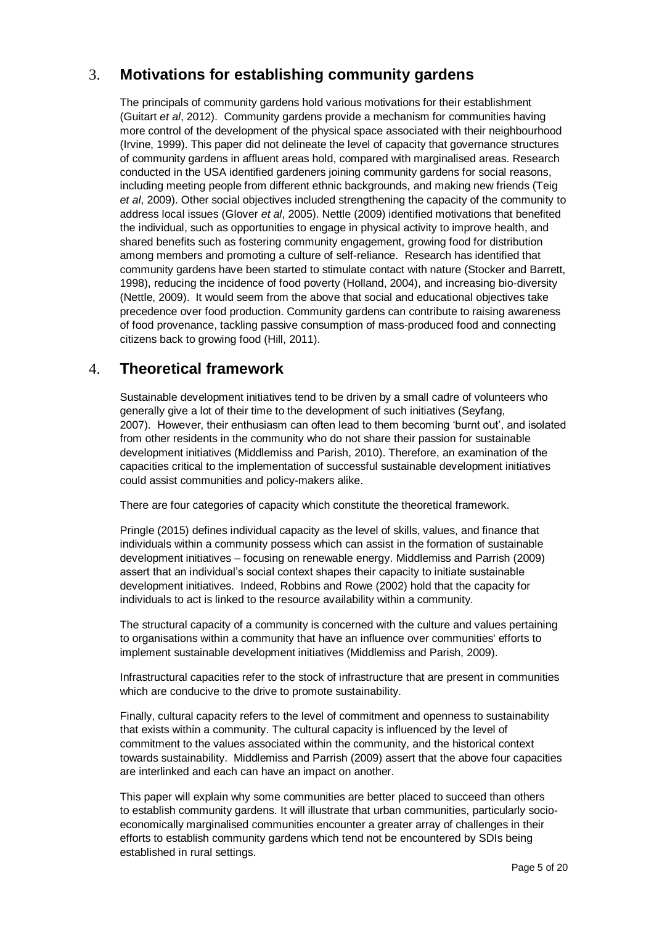# 3. **Motivations for establishing community gardens**

The principals of community gardens hold various motivations for their establishment (Guitart *et al*, 2012). Community gardens provide a mechanism for communities having more control of the development of the physical space associated with their neighbourhood (Irvine, 1999). This paper did not delineate the level of capacity that governance structures of community gardens in affluent areas hold, compared with marginalised areas. Research conducted in the USA identified gardeners joining community gardens for social reasons, including meeting people from different ethnic backgrounds, and making new friends (Teig *et al*, 2009). Other social objectives included strengthening the capacity of the community to address local issues (Glover *et al*, 2005). Nettle (2009) identified motivations that benefited the individual, such as opportunities to engage in physical activity to improve health, and shared benefits such as fostering community engagement, growing food for distribution among members and promoting a culture of self-reliance. Research has identified that community gardens have been started to stimulate contact with nature (Stocker and Barrett, 1998), reducing the incidence of food poverty (Holland, 2004), and increasing bio-diversity (Nettle, 2009). It would seem from the above that social and educational objectives take precedence over food production. Community gardens can contribute to raising awareness of food provenance, tackling passive consumption of mass-produced food and connecting citizens back to growing food (Hill, 2011).

# 4. **Theoretical framework**

Sustainable development initiatives tend to be driven by a small cadre of volunteers who generally give a lot of their time to the development of such initiatives (Seyfang, 2007). However, their enthusiasm can often lead to them becoming 'burnt out', and isolated from other residents in the community who do not share their passion for sustainable development initiatives (Middlemiss and Parish, 2010). Therefore, an examination of the capacities critical to the implementation of successful sustainable development initiatives could assist communities and policy-makers alike.

There are four categories of capacity which constitute the theoretical framework.

Pringle (2015) defines individual capacity as the level of skills, values, and finance that individuals within a community possess which can assist in the formation of sustainable development initiatives – focusing on renewable energy. Middlemiss and Parrish (2009) assert that an individual's social context shapes their capacity to initiate sustainable development initiatives. Indeed, Robbins and Rowe (2002) hold that the capacity for individuals to act is linked to the resource availability within a community.

The structural capacity of a community is concerned with the culture and values pertaining to organisations within a community that have an influence over communities' efforts to implement sustainable development initiatives (Middlemiss and Parish, 2009).

Infrastructural capacities refer to the stock of infrastructure that are present in communities which are conducive to the drive to promote sustainability.

Finally, cultural capacity refers to the level of commitment and openness to sustainability that exists within a community. The cultural capacity is influenced by the level of commitment to the values associated within the community, and the historical context towards sustainability. Middlemiss and Parrish (2009) assert that the above four capacities are interlinked and each can have an impact on another.

This paper will explain why some communities are better placed to succeed than others to establish community gardens. It will illustrate that urban communities, particularly socioeconomically marginalised communities encounter a greater array of challenges in their efforts to establish community gardens which tend not be encountered by SDIs being established in rural settings.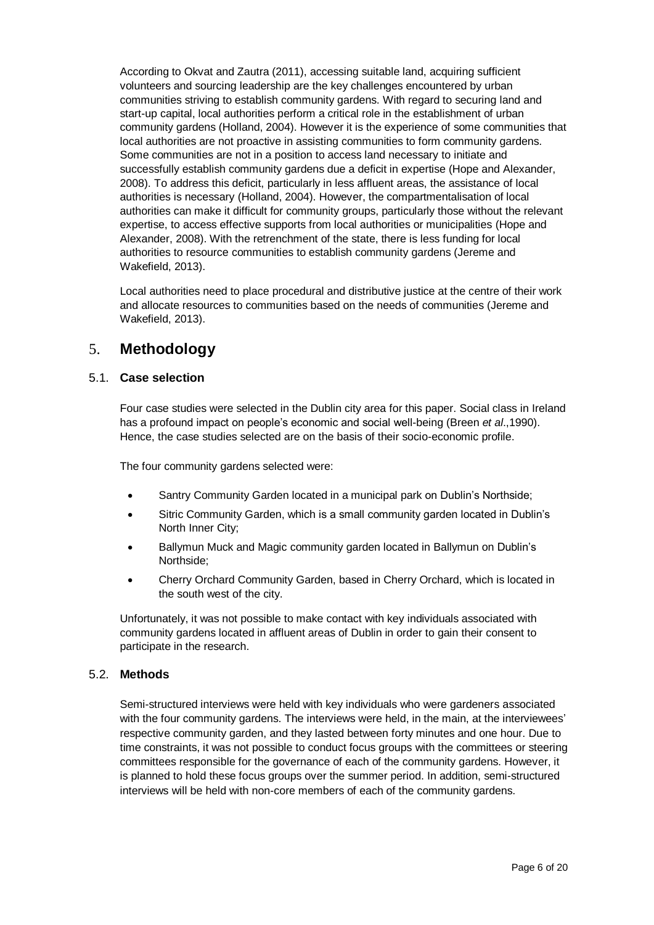According to Okvat and Zautra (2011), accessing suitable land, acquiring sufficient volunteers and sourcing leadership are the key challenges encountered by urban communities striving to establish community gardens. With regard to securing land and start-up capital, local authorities perform a critical role in the establishment of urban community gardens (Holland, 2004). However it is the experience of some communities that local authorities are not proactive in assisting communities to form community gardens. Some communities are not in a position to access land necessary to initiate and successfully establish community gardens due a deficit in expertise (Hope and Alexander, 2008). To address this deficit, particularly in less affluent areas, the assistance of local authorities is necessary (Holland, 2004). However, the compartmentalisation of local authorities can make it difficult for community groups, particularly those without the relevant expertise, to access effective supports from local authorities or municipalities (Hope and Alexander, 2008). With the retrenchment of the state, there is less funding for local authorities to resource communities to establish community gardens (Jereme and Wakefield, 2013).

Local authorities need to place procedural and distributive justice at the centre of their work and allocate resources to communities based on the needs of communities (Jereme and Wakefield, 2013).

# 5. **Methodology**

### 5.1. **Case selection**

Four case studies were selected in the Dublin city area for this paper. Social class in Ireland has a profound impact on people's economic and social well-being (Breen *et al*.,1990). Hence, the case studies selected are on the basis of their socio-economic profile.

The four community gardens selected were:

- Santry Community Garden located in a municipal park on Dublin's Northside;
- Sitric Community Garden, which is a small community garden located in Dublin's North Inner City;
- Ballymun Muck and Magic community garden located in Ballymun on Dublin's Northside;
- Cherry Orchard Community Garden, based in Cherry Orchard, which is located in the south west of the city.

Unfortunately, it was not possible to make contact with key individuals associated with community gardens located in affluent areas of Dublin in order to gain their consent to participate in the research.

#### 5.2. **Methods**

Semi-structured interviews were held with key individuals who were gardeners associated with the four community gardens. The interviews were held, in the main, at the interviewees' respective community garden, and they lasted between forty minutes and one hour. Due to time constraints, it was not possible to conduct focus groups with the committees or steering committees responsible for the governance of each of the community gardens. However, it is planned to hold these focus groups over the summer period. In addition, semi-structured interviews will be held with non-core members of each of the community gardens.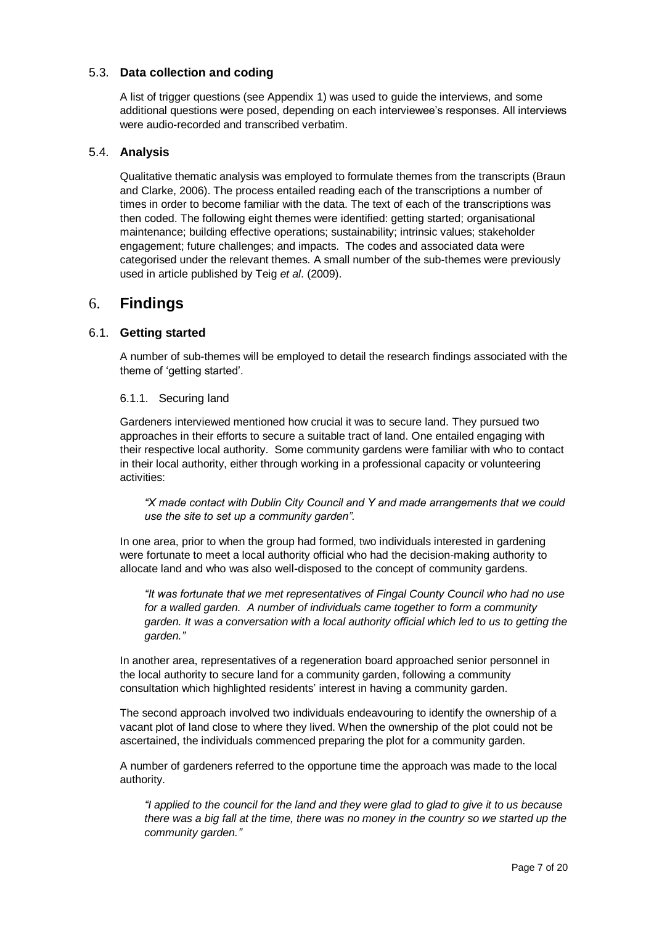## 5.3. **Data collection and coding**

A list of trigger questions (see Appendix 1) was used to guide the interviews, and some additional questions were posed, depending on each interviewee's responses. All interviews were audio-recorded and transcribed verbatim.

#### 5.4. **Analysis**

Qualitative thematic analysis was employed to formulate themes from the transcripts (Braun and Clarke, 2006). The process entailed reading each of the transcriptions a number of times in order to become familiar with the data. The text of each of the transcriptions was then coded. The following eight themes were identified: getting started; organisational maintenance; building effective operations; sustainability; intrinsic values; stakeholder engagement; future challenges; and impacts. The codes and associated data were categorised under the relevant themes. A small number of the sub-themes were previously used in article published by Teig *et al*. (2009).

# 6. **Findings**

## 6.1. **Getting started**

A number of sub-themes will be employed to detail the research findings associated with the theme of 'getting started'.

#### 6.1.1. Securing land

Gardeners interviewed mentioned how crucial it was to secure land. They pursued two approaches in their efforts to secure a suitable tract of land. One entailed engaging with their respective local authority. Some community gardens were familiar with who to contact in their local authority, either through working in a professional capacity or volunteering activities:

*"X made contact with Dublin City Council and Y and made arrangements that we could use the site to set up a community garden".*

In one area, prior to when the group had formed, two individuals interested in gardening were fortunate to meet a local authority official who had the decision-making authority to allocate land and who was also well-disposed to the concept of community gardens.

*"It was fortunate that we met representatives of Fingal County Council who had no use for a walled garden. A number of individuals came together to form a community garden. It was a conversation with a local authority official which led to us to getting the garden."*

In another area, representatives of a regeneration board approached senior personnel in the local authority to secure land for a community garden, following a community consultation which highlighted residents' interest in having a community garden.

The second approach involved two individuals endeavouring to identify the ownership of a vacant plot of land close to where they lived. When the ownership of the plot could not be ascertained, the individuals commenced preparing the plot for a community garden.

A number of gardeners referred to the opportune time the approach was made to the local authority.

*"I applied to the council for the land and they were glad to glad to give it to us because there was a big fall at the time, there was no money in the country so we started up the community garden."*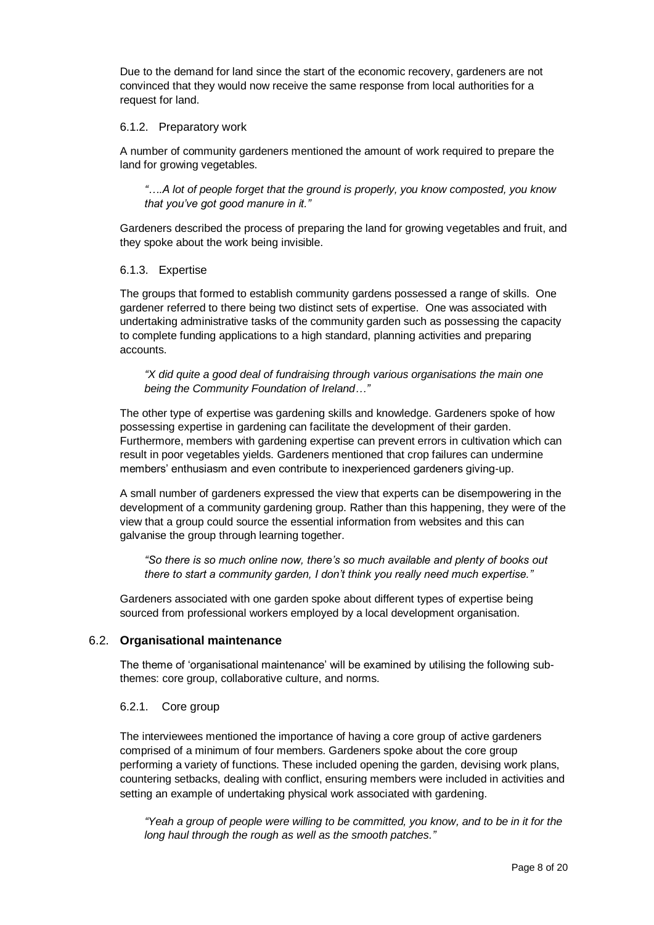Due to the demand for land since the start of the economic recovery, gardeners are not convinced that they would now receive the same response from local authorities for a request for land.

#### 6.1.2. Preparatory work

A number of community gardeners mentioned the amount of work required to prepare the land for growing vegetables.

*"….A lot of people forget that the ground is properly, you know composted, you know that you've got good manure in it."*

Gardeners described the process of preparing the land for growing vegetables and fruit, and they spoke about the work being invisible.

#### 6.1.3. Expertise

The groups that formed to establish community gardens possessed a range of skills. One gardener referred to there being two distinct sets of expertise. One was associated with undertaking administrative tasks of the community garden such as possessing the capacity to complete funding applications to a high standard, planning activities and preparing accounts.

*"X did quite a good deal of fundraising through various organisations the main one being the Community Foundation of Ireland…"*

The other type of expertise was gardening skills and knowledge. Gardeners spoke of how possessing expertise in gardening can facilitate the development of their garden. Furthermore, members with gardening expertise can prevent errors in cultivation which can result in poor vegetables yields. Gardeners mentioned that crop failures can undermine members' enthusiasm and even contribute to inexperienced gardeners giving-up.

A small number of gardeners expressed the view that experts can be disempowering in the development of a community gardening group. Rather than this happening, they were of the view that a group could source the essential information from websites and this can galvanise the group through learning together.

*"So there is so much online now, there's so much available and plenty of books out there to start a community garden, I don't think you really need much expertise."*

Gardeners associated with one garden spoke about different types of expertise being sourced from professional workers employed by a local development organisation.

#### 6.2. **Organisational maintenance**

The theme of 'organisational maintenance' will be examined by utilising the following subthemes: core group, collaborative culture, and norms.

#### 6.2.1. Core group

The interviewees mentioned the importance of having a core group of active gardeners comprised of a minimum of four members. Gardeners spoke about the core group performing a variety of functions. These included opening the garden, devising work plans, countering setbacks, dealing with conflict, ensuring members were included in activities and setting an example of undertaking physical work associated with gardening.

*"Yeah a group of people were willing to be committed, you know, and to be in it for the long haul through the rough as well as the smooth patches."*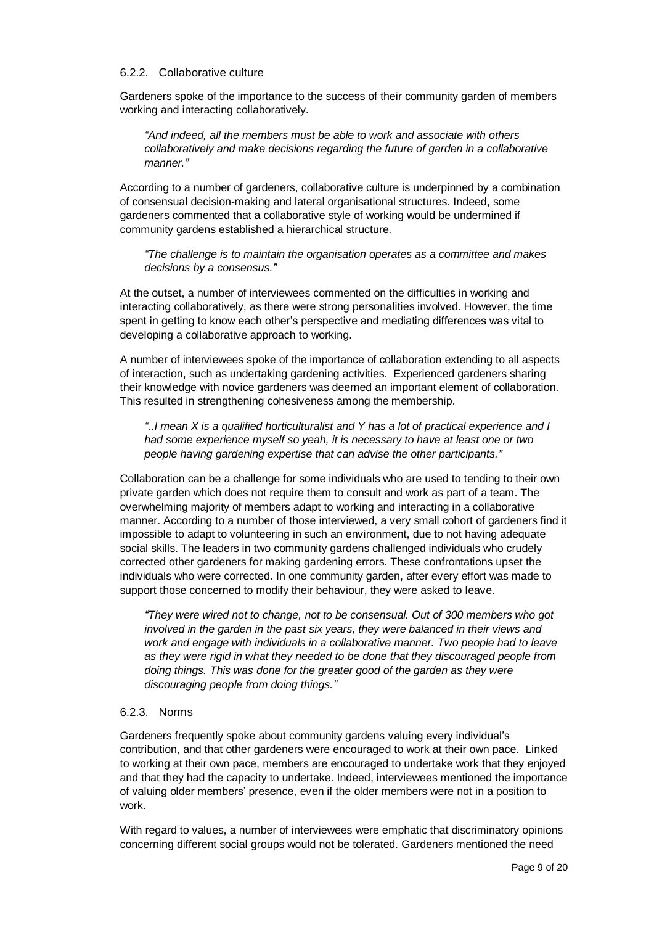#### 6.2.2. Collaborative culture

Gardeners spoke of the importance to the success of their community garden of members working and interacting collaboratively.

*"And indeed, all the members must be able to work and associate with others collaboratively and make decisions regarding the future of garden in a collaborative manner."*

According to a number of gardeners, collaborative culture is underpinned by a combination of consensual decision-making and lateral organisational structures. Indeed, some gardeners commented that a collaborative style of working would be undermined if community gardens established a hierarchical structure.

*"The challenge is to maintain the organisation operates as a committee and makes decisions by a consensus."*

At the outset, a number of interviewees commented on the difficulties in working and interacting collaboratively, as there were strong personalities involved. However, the time spent in getting to know each other's perspective and mediating differences was vital to developing a collaborative approach to working.

A number of interviewees spoke of the importance of collaboration extending to all aspects of interaction, such as undertaking gardening activities. Experienced gardeners sharing their knowledge with novice gardeners was deemed an important element of collaboration. This resulted in strengthening cohesiveness among the membership.

*"..I mean X is a qualified horticulturalist and Y has a lot of practical experience and I had some experience myself so yeah, it is necessary to have at least one or two people having gardening expertise that can advise the other participants."*

Collaboration can be a challenge for some individuals who are used to tending to their own private garden which does not require them to consult and work as part of a team. The overwhelming majority of members adapt to working and interacting in a collaborative manner. According to a number of those interviewed, a very small cohort of gardeners find it impossible to adapt to volunteering in such an environment, due to not having adequate social skills. The leaders in two community gardens challenged individuals who crudely corrected other gardeners for making gardening errors. These confrontations upset the individuals who were corrected. In one community garden, after every effort was made to support those concerned to modify their behaviour, they were asked to leave.

*"They were wired not to change, not to be consensual. Out of 300 members who got involved in the garden in the past six years, they were balanced in their views and work and engage with individuals in a collaborative manner. Two people had to leave as they were rigid in what they needed to be done that they discouraged people from doing things. This was done for the greater good of the garden as they were discouraging people from doing things."*

#### 6.2.3. Norms

Gardeners frequently spoke about community gardens valuing every individual's contribution, and that other gardeners were encouraged to work at their own pace. Linked to working at their own pace, members are encouraged to undertake work that they enjoyed and that they had the capacity to undertake. Indeed, interviewees mentioned the importance of valuing older members' presence, even if the older members were not in a position to work.

With regard to values, a number of interviewees were emphatic that discriminatory opinions concerning different social groups would not be tolerated. Gardeners mentioned the need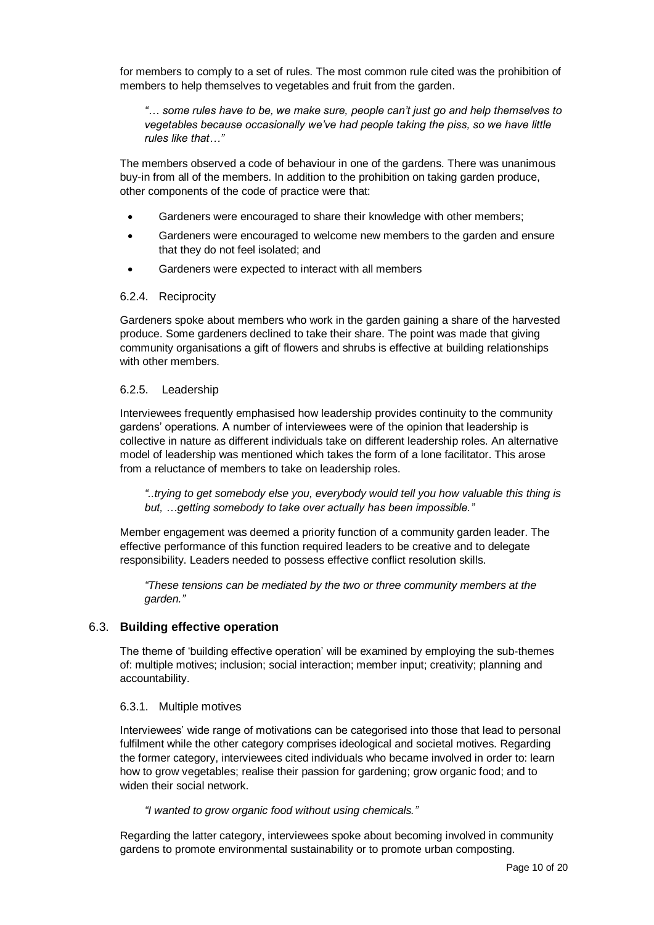for members to comply to a set of rules. The most common rule cited was the prohibition of members to help themselves to vegetables and fruit from the garden.

*"… some rules have to be, we make sure, people can't just go and help themselves to vegetables because occasionally we've had people taking the piss, so we have little rules like that…"*

The members observed a code of behaviour in one of the gardens. There was unanimous buy-in from all of the members. In addition to the prohibition on taking garden produce, other components of the code of practice were that:

- Gardeners were encouraged to share their knowledge with other members;
- Gardeners were encouraged to welcome new members to the garden and ensure that they do not feel isolated; and
- Gardeners were expected to interact with all members

#### 6.2.4. Reciprocity

Gardeners spoke about members who work in the garden gaining a share of the harvested produce. Some gardeners declined to take their share. The point was made that giving community organisations a gift of flowers and shrubs is effective at building relationships with other members.

#### 6.2.5. Leadership

Interviewees frequently emphasised how leadership provides continuity to the community gardens' operations. A number of interviewees were of the opinion that leadership is collective in nature as different individuals take on different leadership roles. An alternative model of leadership was mentioned which takes the form of a lone facilitator. This arose from a reluctance of members to take on leadership roles.

*"..trying to get somebody else you, everybody would tell you how valuable this thing is but, …getting somebody to take over actually has been impossible."* 

Member engagement was deemed a priority function of a community garden leader. The effective performance of this function required leaders to be creative and to delegate responsibility. Leaders needed to possess effective conflict resolution skills.

*"These tensions can be mediated by the two or three community members at the garden."*

#### 6.3. **Building effective operation**

The theme of 'building effective operation' will be examined by employing the sub-themes of: multiple motives; inclusion; social interaction; member input; creativity; planning and accountability.

#### 6.3.1. Multiple motives

Interviewees' wide range of motivations can be categorised into those that lead to personal fulfilment while the other category comprises ideological and societal motives. Regarding the former category, interviewees cited individuals who became involved in order to: learn how to grow vegetables; realise their passion for gardening; grow organic food; and to widen their social network.

*"I wanted to grow organic food without using chemicals."*

Regarding the latter category, interviewees spoke about becoming involved in community gardens to promote environmental sustainability or to promote urban composting.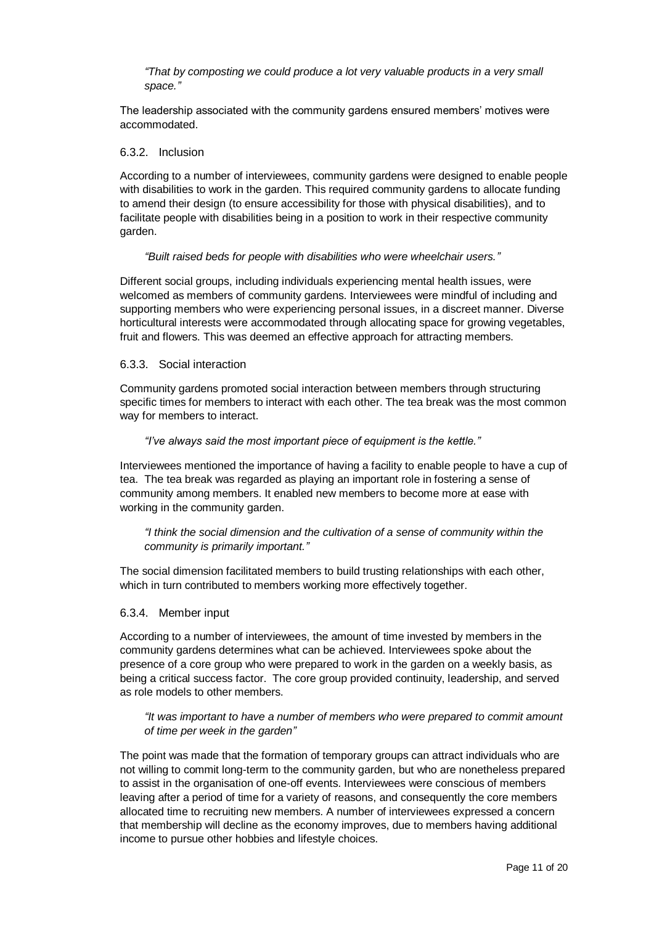*"That by composting we could produce a lot very valuable products in a very small space."*

The leadership associated with the community gardens ensured members' motives were accommodated.

#### 6.3.2. Inclusion

According to a number of interviewees, community gardens were designed to enable people with disabilities to work in the garden. This required community gardens to allocate funding to amend their design (to ensure accessibility for those with physical disabilities), and to facilitate people with disabilities being in a position to work in their respective community garden.

#### *"Built raised beds for people with disabilities who were wheelchair users."*

Different social groups, including individuals experiencing mental health issues, were welcomed as members of community gardens. Interviewees were mindful of including and supporting members who were experiencing personal issues, in a discreet manner. Diverse horticultural interests were accommodated through allocating space for growing vegetables, fruit and flowers. This was deemed an effective approach for attracting members.

#### 6.3.3. Social interaction

Community gardens promoted social interaction between members through structuring specific times for members to interact with each other. The tea break was the most common way for members to interact.

#### *"I've always said the most important piece of equipment is the kettle."*

Interviewees mentioned the importance of having a facility to enable people to have a cup of tea. The tea break was regarded as playing an important role in fostering a sense of community among members. It enabled new members to become more at ease with working in the community garden.

*"I think the social dimension and the cultivation of a sense of community within the community is primarily important."*

The social dimension facilitated members to build trusting relationships with each other, which in turn contributed to members working more effectively together.

#### 6.3.4. Member input

According to a number of interviewees, the amount of time invested by members in the community gardens determines what can be achieved. Interviewees spoke about the presence of a core group who were prepared to work in the garden on a weekly basis, as being a critical success factor. The core group provided continuity, leadership, and served as role models to other members.

*"It was important to have a number of members who were prepared to commit amount of time per week in the garden"*

The point was made that the formation of temporary groups can attract individuals who are not willing to commit long-term to the community garden, but who are nonetheless prepared to assist in the organisation of one-off events. Interviewees were conscious of members leaving after a period of time for a variety of reasons, and consequently the core members allocated time to recruiting new members. A number of interviewees expressed a concern that membership will decline as the economy improves, due to members having additional income to pursue other hobbies and lifestyle choices.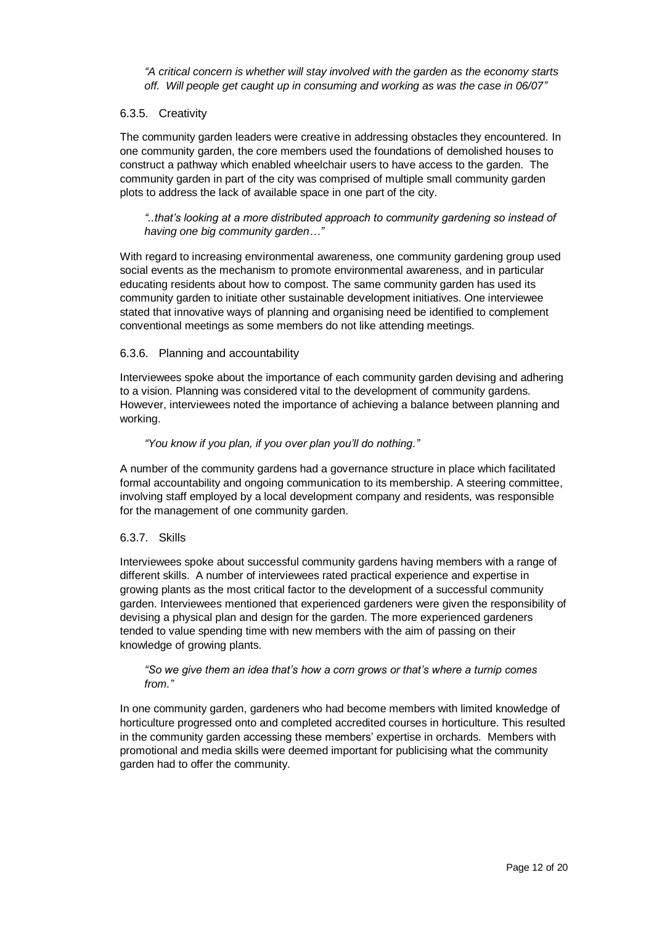*"A critical concern is whether will stay involved with the garden as the economy starts off. Will people get caught up in consuming and working as was the case in 06/07"*

#### 6.3.5. Creativity

The community garden leaders were creative in addressing obstacles they encountered. In one community garden, the core members used the foundations of demolished houses to construct a pathway which enabled wheelchair users to have access to the garden. The community garden in part of the city was comprised of multiple small community garden plots to address the lack of available space in one part of the city.

*"..that's looking at a more distributed approach to community gardening so instead of having one big community garden…"*

With regard to increasing environmental awareness, one community gardening group used social events as the mechanism to promote environmental awareness, and in particular educating residents about how to compost. The same community garden has used its community garden to initiate other sustainable development initiatives. One interviewee stated that innovative ways of planning and organising need be identified to complement conventional meetings as some members do not like attending meetings.

#### 6.3.6. Planning and accountability

Interviewees spoke about the importance of each community garden devising and adhering to a vision. Planning was considered vital to the development of community gardens. However, interviewees noted the importance of achieving a balance between planning and working.

#### *"You know if you plan, if you over plan you'll do nothing."*

A number of the community gardens had a governance structure in place which facilitated formal accountability and ongoing communication to its membership. A steering committee, involving staff employed by a local development company and residents, was responsible for the management of one community garden.

#### 6.3.7. Skills

Interviewees spoke about successful community gardens having members with a range of different skills. A number of interviewees rated practical experience and expertise in growing plants as the most critical factor to the development of a successful community garden. Interviewees mentioned that experienced gardeners were given the responsibility of devising a physical plan and design for the garden. The more experienced gardeners tended to value spending time with new members with the aim of passing on their knowledge of growing plants.

#### *"So we give them an idea that's how a corn grows or that's where a turnip comes from."*

In one community garden, gardeners who had become members with limited knowledge of horticulture progressed onto and completed accredited courses in horticulture. This resulted in the community garden accessing these members' expertise in orchards. Members with promotional and media skills were deemed important for publicising what the community garden had to offer the community.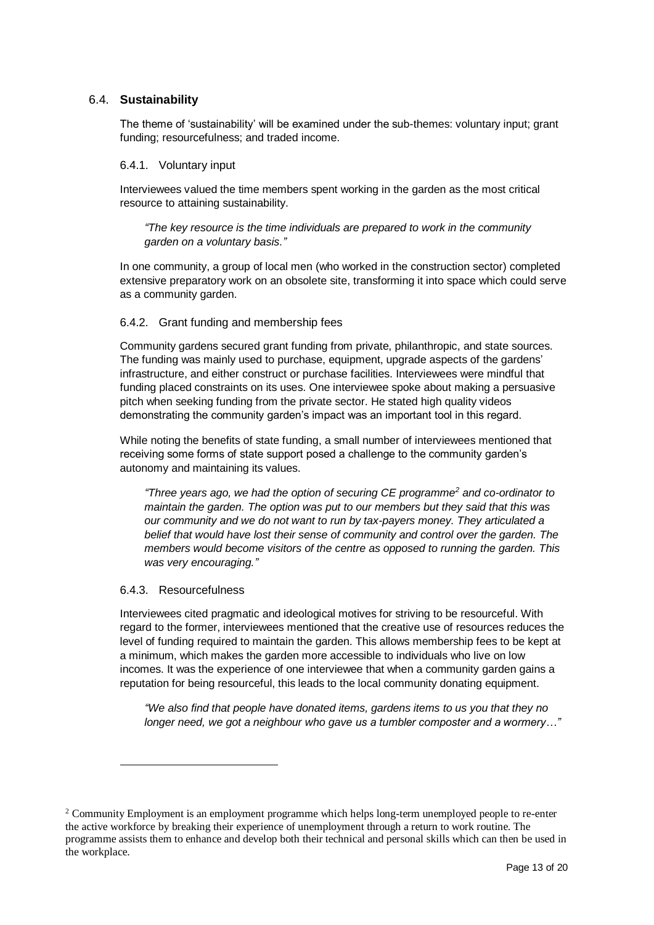### 6.4. **Sustainability**

The theme of 'sustainability' will be examined under the sub-themes: voluntary input; grant funding; resourcefulness; and traded income.

#### 6.4.1. Voluntary input

Interviewees valued the time members spent working in the garden as the most critical resource to attaining sustainability.

*"The key resource is the time individuals are prepared to work in the community garden on a voluntary basis."*

In one community, a group of local men (who worked in the construction sector) completed extensive preparatory work on an obsolete site, transforming it into space which could serve as a community garden.

#### 6.4.2. Grant funding and membership fees

Community gardens secured grant funding from private, philanthropic, and state sources. The funding was mainly used to purchase, equipment, upgrade aspects of the gardens' infrastructure, and either construct or purchase facilities. Interviewees were mindful that funding placed constraints on its uses. One interviewee spoke about making a persuasive pitch when seeking funding from the private sector. He stated high quality videos demonstrating the community garden's impact was an important tool in this regard.

While noting the benefits of state funding, a small number of interviewees mentioned that receiving some forms of state support posed a challenge to the community garden's autonomy and maintaining its values.

*"Three years ago, we had the option of securing CE programme<sup>2</sup> and co-ordinator to maintain the garden. The option was put to our members but they said that this was our community and we do not want to run by tax-payers money. They articulated a belief that would have lost their sense of community and control over the garden. The members would become visitors of the centre as opposed to running the garden. This was very encouraging."*

#### 6.4.3. Resourcefulness

l

Interviewees cited pragmatic and ideological motives for striving to be resourceful. With regard to the former, interviewees mentioned that the creative use of resources reduces the level of funding required to maintain the garden. This allows membership fees to be kept at a minimum, which makes the garden more accessible to individuals who live on low incomes. It was the experience of one interviewee that when a community garden gains a reputation for being resourceful, this leads to the local community donating equipment.

*"We also find that people have donated items, gardens items to us you that they no longer need, we got a neighbour who gave us a tumbler composter and a wormery…"*

<sup>&</sup>lt;sup>2</sup> Community Employment is an employment programme which helps long-term unemployed people to re-enter the active workforce by breaking their experience of unemployment through a return to work routine. The programme assists them to enhance and develop both their technical and personal skills which can then be used in the workplace.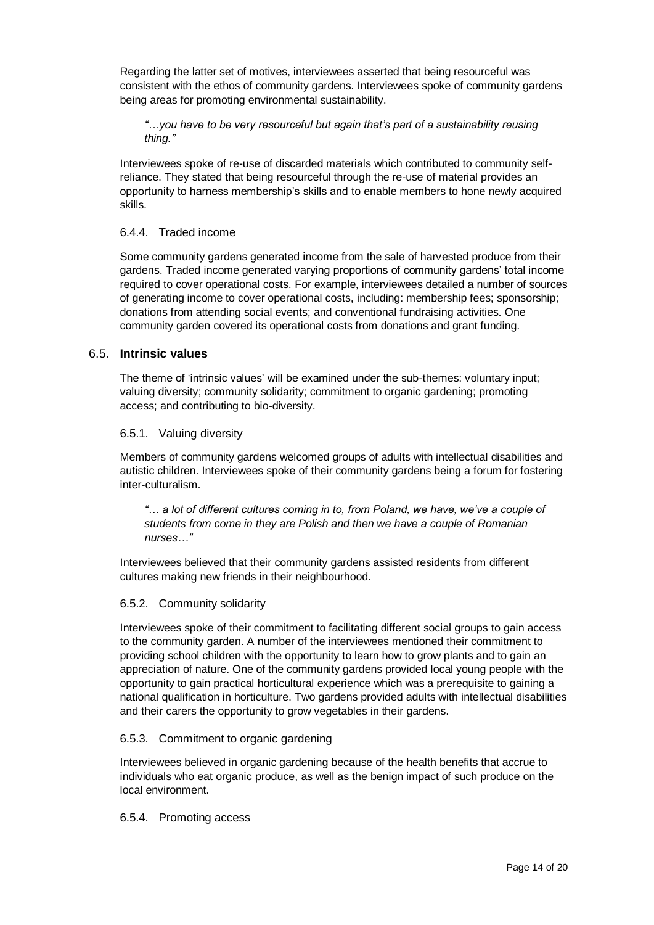Regarding the latter set of motives, interviewees asserted that being resourceful was consistent with the ethos of community gardens. Interviewees spoke of community gardens being areas for promoting environmental sustainability.

*"…you have to be very resourceful but again that's part of a sustainability reusing thing."*

Interviewees spoke of re-use of discarded materials which contributed to community selfreliance. They stated that being resourceful through the re-use of material provides an opportunity to harness membership's skills and to enable members to hone newly acquired skills.

#### 6.4.4. Traded income

Some community gardens generated income from the sale of harvested produce from their gardens. Traded income generated varying proportions of community gardens' total income required to cover operational costs. For example, interviewees detailed a number of sources of generating income to cover operational costs, including: membership fees; sponsorship; donations from attending social events; and conventional fundraising activities. One community garden covered its operational costs from donations and grant funding.

#### 6.5. **Intrinsic values**

The theme of 'intrinsic values' will be examined under the sub-themes: voluntary input; valuing diversity; community solidarity; commitment to organic gardening; promoting access; and contributing to bio-diversity.

#### 6.5.1. Valuing diversity

Members of community gardens welcomed groups of adults with intellectual disabilities and autistic children. Interviewees spoke of their community gardens being a forum for fostering inter-culturalism.

*"… a lot of different cultures coming in to, from Poland, we have, we've a couple of students from come in they are Polish and then we have a couple of Romanian nurses…"*

Interviewees believed that their community gardens assisted residents from different cultures making new friends in their neighbourhood.

#### 6.5.2. Community solidarity

Interviewees spoke of their commitment to facilitating different social groups to gain access to the community garden. A number of the interviewees mentioned their commitment to providing school children with the opportunity to learn how to grow plants and to gain an appreciation of nature. One of the community gardens provided local young people with the opportunity to gain practical horticultural experience which was a prerequisite to gaining a national qualification in horticulture. Two gardens provided adults with intellectual disabilities and their carers the opportunity to grow vegetables in their gardens.

#### 6.5.3. Commitment to organic gardening

Interviewees believed in organic gardening because of the health benefits that accrue to individuals who eat organic produce, as well as the benign impact of such produce on the local environment.

#### 6.5.4. Promoting access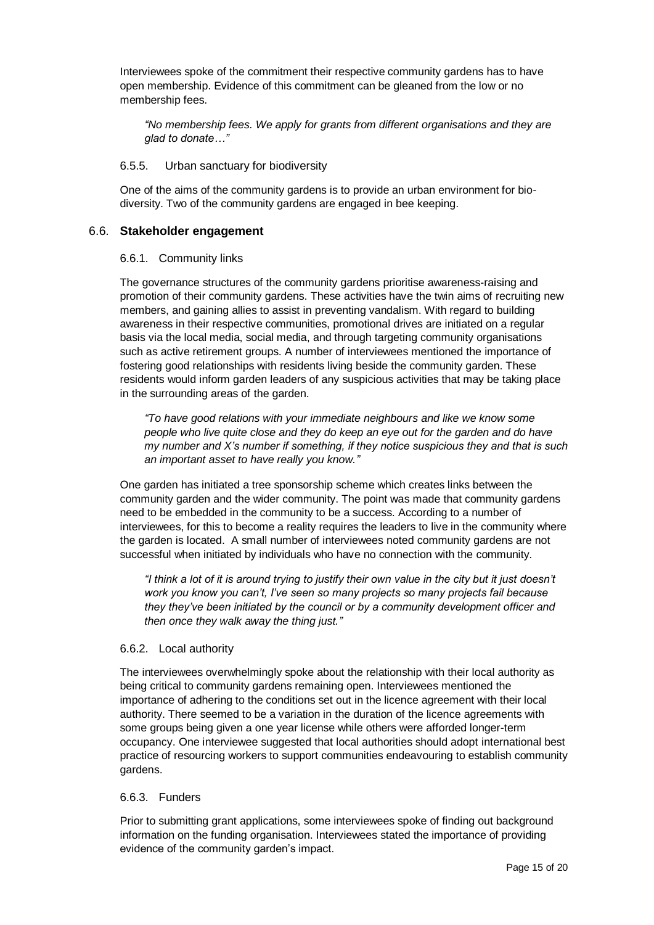Interviewees spoke of the commitment their respective community gardens has to have open membership. Evidence of this commitment can be gleaned from the low or no membership fees.

*"No membership fees. We apply for grants from different organisations and they are glad to donate…"*

#### 6.5.5.Urban sanctuary for biodiversity

One of the aims of the community gardens is to provide an urban environment for biodiversity. Two of the community gardens are engaged in bee keeping.

#### 6.6. **Stakeholder engagement**

#### 6.6.1. Community links

The governance structures of the community gardens prioritise awareness-raising and promotion of their community gardens. These activities have the twin aims of recruiting new members, and gaining allies to assist in preventing vandalism. With regard to building awareness in their respective communities, promotional drives are initiated on a regular basis via the local media, social media, and through targeting community organisations such as active retirement groups. A number of interviewees mentioned the importance of fostering good relationships with residents living beside the community garden. These residents would inform garden leaders of any suspicious activities that may be taking place in the surrounding areas of the garden.

*"To have good relations with your immediate neighbours and like we know some people who live quite close and they do keep an eye out for the garden and do have my number and X's number if something, if they notice suspicious they and that is such an important asset to have really you know."*

One garden has initiated a tree sponsorship scheme which creates links between the community garden and the wider community. The point was made that community gardens need to be embedded in the community to be a success. According to a number of interviewees, for this to become a reality requires the leaders to live in the community where the garden is located. A small number of interviewees noted community gardens are not successful when initiated by individuals who have no connection with the community.

*"I think a lot of it is around trying to justify their own value in the city but it just doesn't work you know you can't, I've seen so many projects so many projects fail because they they've been initiated by the council or by a community development officer and then once they walk away the thing just."*

#### 6.6.2. Local authority

The interviewees overwhelmingly spoke about the relationship with their local authority as being critical to community gardens remaining open. Interviewees mentioned the importance of adhering to the conditions set out in the licence agreement with their local authority. There seemed to be a variation in the duration of the licence agreements with some groups being given a one year license while others were afforded longer-term occupancy. One interviewee suggested that local authorities should adopt international best practice of resourcing workers to support communities endeavouring to establish community gardens.

#### 6.6.3. Funders

Prior to submitting grant applications, some interviewees spoke of finding out background information on the funding organisation. Interviewees stated the importance of providing evidence of the community garden's impact.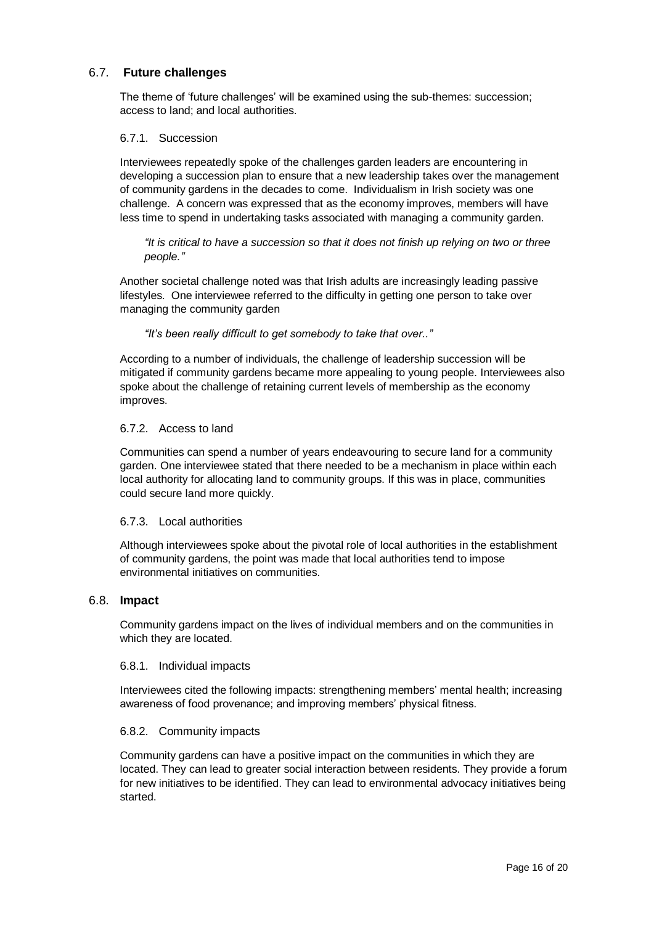### 6.7. **Future challenges**

The theme of 'future challenges' will be examined using the sub-themes: succession; access to land; and local authorities.

#### 6.7.1. Succession

Interviewees repeatedly spoke of the challenges garden leaders are encountering in developing a succession plan to ensure that a new leadership takes over the management of community gardens in the decades to come. Individualism in Irish society was one challenge. A concern was expressed that as the economy improves, members will have less time to spend in undertaking tasks associated with managing a community garden.

*"It is critical to have a succession so that it does not finish up relying on two or three people."*

Another societal challenge noted was that Irish adults are increasingly leading passive lifestyles. One interviewee referred to the difficulty in getting one person to take over managing the community garden

*"It's been really difficult to get somebody to take that over.."*

According to a number of individuals, the challenge of leadership succession will be mitigated if community gardens became more appealing to young people. Interviewees also spoke about the challenge of retaining current levels of membership as the economy improves.

#### 6.7.2. Access to land

Communities can spend a number of years endeavouring to secure land for a community garden. One interviewee stated that there needed to be a mechanism in place within each local authority for allocating land to community groups. If this was in place, communities could secure land more quickly.

#### 6.7.3. Local authorities

Although interviewees spoke about the pivotal role of local authorities in the establishment of community gardens, the point was made that local authorities tend to impose environmental initiatives on communities.

#### 6.8. **Impact**

Community gardens impact on the lives of individual members and on the communities in which they are located.

#### 6.8.1. Individual impacts

Interviewees cited the following impacts: strengthening members' mental health; increasing awareness of food provenance; and improving members' physical fitness.

#### 6.8.2. Community impacts

Community gardens can have a positive impact on the communities in which they are located. They can lead to greater social interaction between residents. They provide a forum for new initiatives to be identified. They can lead to environmental advocacy initiatives being started.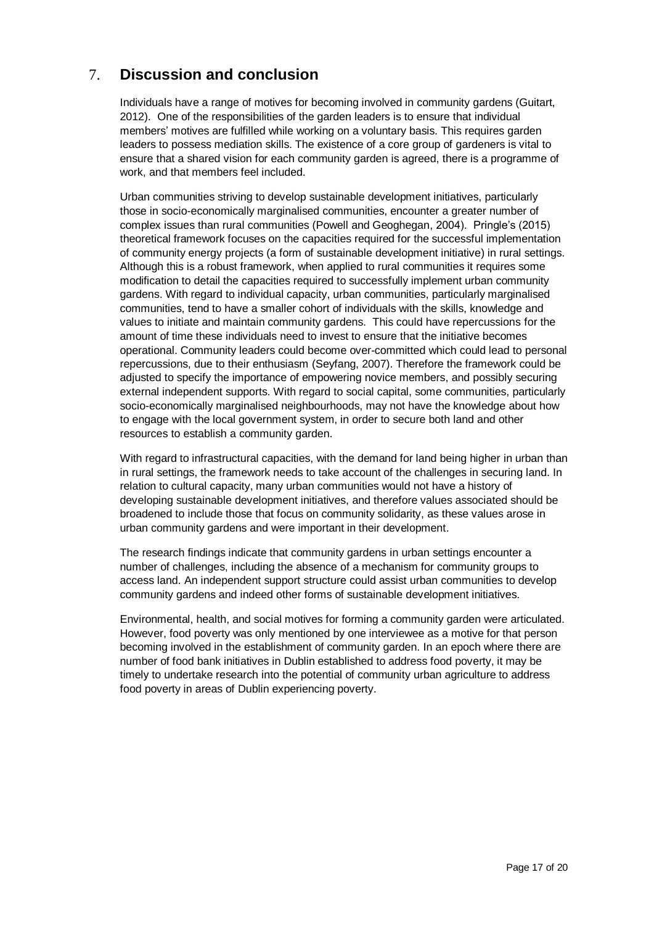# 7. **Discussion and conclusion**

Individuals have a range of motives for becoming involved in community gardens (Guitart, 2012). One of the responsibilities of the garden leaders is to ensure that individual members' motives are fulfilled while working on a voluntary basis. This requires garden leaders to possess mediation skills. The existence of a core group of gardeners is vital to ensure that a shared vision for each community garden is agreed, there is a programme of work, and that members feel included.

Urban communities striving to develop sustainable development initiatives, particularly those in socio-economically marginalised communities, encounter a greater number of complex issues than rural communities (Powell and Geoghegan, 2004). Pringle's (2015) theoretical framework focuses on the capacities required for the successful implementation of community energy projects (a form of sustainable development initiative) in rural settings. Although this is a robust framework, when applied to rural communities it requires some modification to detail the capacities required to successfully implement urban community gardens. With regard to individual capacity, urban communities, particularly marginalised communities, tend to have a smaller cohort of individuals with the skills, knowledge and values to initiate and maintain community gardens. This could have repercussions for the amount of time these individuals need to invest to ensure that the initiative becomes operational. Community leaders could become over-committed which could lead to personal repercussions, due to their enthusiasm (Seyfang, 2007). Therefore the framework could be adjusted to specify the importance of empowering novice members, and possibly securing external independent supports. With regard to social capital, some communities, particularly socio-economically marginalised neighbourhoods, may not have the knowledge about how to engage with the local government system, in order to secure both land and other resources to establish a community garden.

With regard to infrastructural capacities, with the demand for land being higher in urban than in rural settings, the framework needs to take account of the challenges in securing land. In relation to cultural capacity, many urban communities would not have a history of developing sustainable development initiatives, and therefore values associated should be broadened to include those that focus on community solidarity, as these values arose in urban community gardens and were important in their development.

The research findings indicate that community gardens in urban settings encounter a number of challenges, including the absence of a mechanism for community groups to access land. An independent support structure could assist urban communities to develop community gardens and indeed other forms of sustainable development initiatives.

Environmental, health, and social motives for forming a community garden were articulated. However, food poverty was only mentioned by one interviewee as a motive for that person becoming involved in the establishment of community garden. In an epoch where there are number of food bank initiatives in Dublin established to address food poverty, it may be timely to undertake research into the potential of community urban agriculture to address food poverty in areas of Dublin experiencing poverty.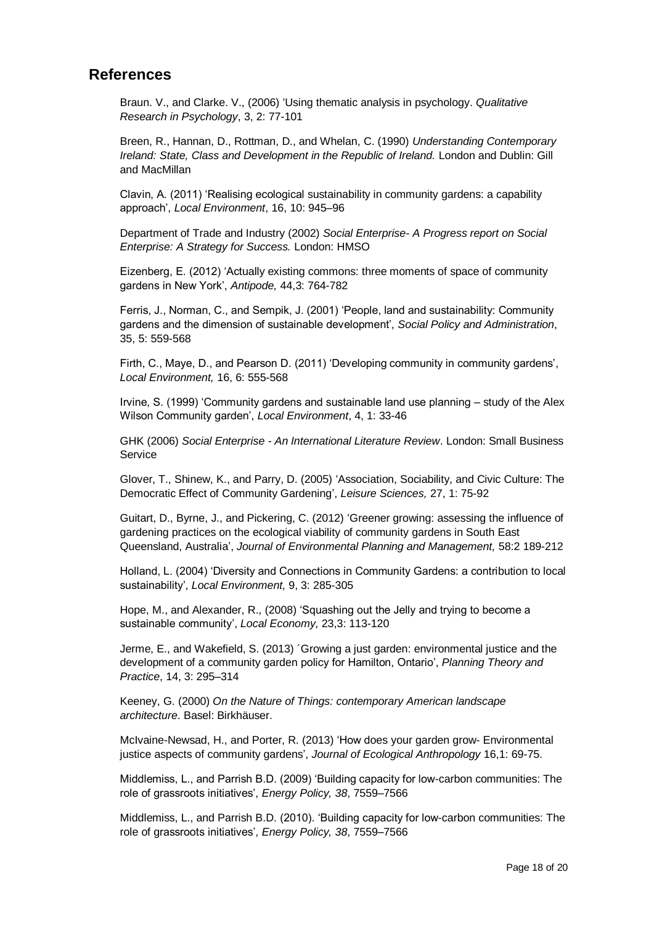# **References**

Braun. V., and Clarke. V., (2006) 'Using thematic analysis in psychology. *Qualitative Research in Psychology*, 3, 2: 77-101

Breen, R., Hannan, D., Rottman, D., and Whelan, C. (1990) *Understanding Contemporary Ireland: State, Class and Development in the Republic of Ireland.* London and Dublin: Gill and MacMillan

Clavin, A. (2011) 'Realising ecological sustainability in community gardens: a capability approach', *Local Environment*, 16, 10: 945–96

Department of Trade and Industry (2002) *Social Enterprise- A Progress report on Social Enterprise: A Strategy for Success.* London: HMSO

Eizenberg, E. (2012) 'Actually existing commons: three moments of space of community gardens in New York', *Antipode,* 44,3: 764-782

Ferris, J., Norman, C., and Sempik, J. (2001) 'People, land and sustainability: Community gardens and the dimension of sustainable development', *Social Policy and Administration*, 35, 5: 559-568

Firth, C., Maye, D., and Pearson D. (2011) 'Developing community in community gardens', *Local Environment,* 16, 6: 555-568

Irvine, S. (1999) 'Community gardens and sustainable land use planning – study of the Alex Wilson Community garden', *Local Environment*, 4, 1: 33-46

GHK (2006) *Social Enterprise - An International Literature Review*. London: Small Business **Service** 

Glover, T., Shinew, K., and Parry, D. (2005) 'Association, Sociability, and Civic Culture: The Democratic Effect of Community Gardening', *Leisure Sciences,* 27, 1: 75-92

Guitart, D., Byrne, J., and Pickering, C. (2012) 'Greener growing: assessing the influence of gardening practices on the ecological viability of community gardens in South East Queensland, Australia', *Journal of Environmental Planning and Management,* 58:2 189-212

Holland, L. (2004) 'Diversity and Connections in Community Gardens: a contribution to local sustainability', *Local Environment,* 9, 3: 285-305

Hope, M., and Alexander, R., (2008) 'Squashing out the Jelly and trying to become a sustainable community', *Local Economy,* 23,3: 113-120

Jerme, E., and Wakefield, S. (2013) ´Growing a just garden: environmental justice and the development of a community garden policy for Hamilton, Ontario', *Planning Theory and Practice*, 14, 3: 295–314

Keeney, G. (2000) *On the Nature of Things: contemporary American landscape architecture*. Basel: Birkhäuser.

McIvaine-Newsad, H., and Porter, R. (2013) 'How does your garden grow- Environmental justice aspects of community gardens', *Journal of Ecological Anthropology* 16,1: 69-75.

Middlemiss, L., and Parrish B.D. (2009) 'Building capacity for low-carbon communities: The role of grassroots initiatives', *Energy Policy, 38*, 7559–7566

Middlemiss, L., and Parrish B.D. (2010). 'Building capacity for low-carbon communities: The role of grassroots initiatives', *Energy Policy, 38*, 7559–7566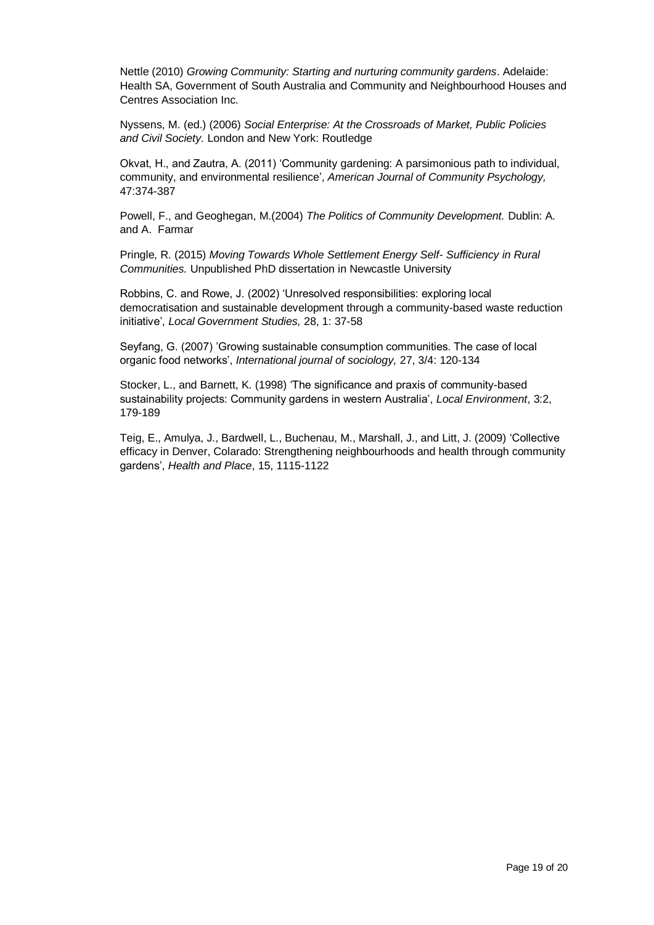Nettle (2010) *Growing Community: Starting and nurturing community gardens*. Adelaide: Health SA, Government of South Australia and Community and Neighbourhood Houses and Centres Association Inc.

Nyssens, M. (ed.) (2006) *Social Enterprise: At the Crossroads of Market, Public Policies and Civil Society.* London and New York: Routledge

Okvat, H., and Zautra, A. (2011) 'Community gardening: A parsimonious path to individual, community, and environmental resilience', *American Journal of Community Psychology,*  47:374-387

Powell, F., and Geoghegan, M.(2004) *The Politics of Community Development.* Dublin: A. and A. Farmar

Pringle, R. (2015) *Moving Towards Whole Settlement Energy Self- Sufficiency in Rural Communities.* Unpublished PhD dissertation in Newcastle University

Robbins, C. and Rowe, J. (2002) 'Unresolved responsibilities: exploring local democratisation and sustainable development through a community-based waste reduction initiative', *Local Government Studies,* 28, 1: 37-58

Seyfang, G. (2007) 'Growing sustainable consumption communities. The case of local organic food networks', *International journal of sociology,* 27, 3/4: 120-134

Stocker, L., and Barnett, K. (1998) 'The significance and praxis of community-based sustainability projects: Community gardens in western Australia', *Local Environment*, 3:2, 179-189

Teig, E., Amulya, J., Bardwell, L., Buchenau, M., Marshall, J., and Litt, J. (2009) 'Collective efficacy in Denver, Colarado: Strengthening neighbourhoods and health through community gardens', *Health and Place*, 15, 1115-1122